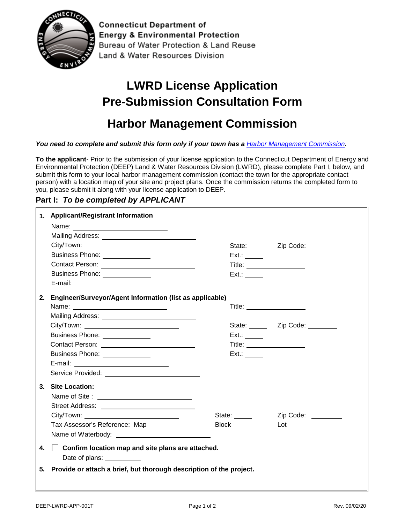

**Connecticut Department of Energy & Environmental Protection** Bureau of Water Protection & Land Reuse Land & Water Resources Division

## **LWRD License Application Pre-Submission Consultation Form**

## **Harbor Management Commission**

*You need to complete and submit this form only if your town has a [Harbor Management Commission](https://portal.ct.gov/-/media/DEEP/coastal-resources/coastal_management/HarborManagementCommissions412019pdf.pdf?la=en).* 

**To the applicant**- Prior to the submission of your license application to the Connecticut Department of Energy and Environmental Protection (DEEP) Land & Water Resources Division (LWRD), please complete Part I, below, and submit this form to your local harbor management commission (contact the town for the appropriate contact person) with a location map of your site and project plans. Once the commission returns the completed form to you, please submit it along with your license application to DEEP.

## **Part I:** *To be completed by APPLICANT*

|    | 1. Applicant/Registrant Information                                        |                                 |                                    |
|----|----------------------------------------------------------------------------|---------------------------------|------------------------------------|
|    |                                                                            |                                 |                                    |
|    |                                                                            |                                 |                                    |
|    |                                                                            |                                 | State: _______ Zip Code: _________ |
|    | Business Phone: ______________                                             | Ext.:                           |                                    |
|    |                                                                            | Title: ________________________ |                                    |
|    | Business Phone: ______________                                             | Ext.:                           |                                    |
|    |                                                                            |                                 |                                    |
|    | 2. Engineer/Surveyor/Agent Information (list as applicable)                |                                 |                                    |
|    |                                                                            | Title: <u>_________________</u> |                                    |
|    |                                                                            |                                 |                                    |
|    |                                                                            |                                 | State: _______ Zip Code: ________  |
|    | Business Phone: ______________                                             | Ext.:                           |                                    |
|    |                                                                            |                                 |                                    |
|    | Business Phone: <u>________________</u>                                    | $Ext.$ :                        |                                    |
|    |                                                                            |                                 |                                    |
|    |                                                                            |                                 |                                    |
|    | 3. Site Location:                                                          |                                 |                                    |
|    |                                                                            |                                 |                                    |
|    |                                                                            |                                 |                                    |
|    |                                                                            | State:                          | Zip Code:                          |
|    | Tax Assessor's Reference: Map                                              | Block ______                    |                                    |
|    | Name of Waterbody: Name of Waterbody:                                      |                                 |                                    |
| 4. | $\Box$ Confirm location map and site plans are attached.<br>Date of plans: |                                 |                                    |
| 5. | Provide or attach a brief, but thorough description of the project.        |                                 |                                    |
|    |                                                                            |                                 |                                    |